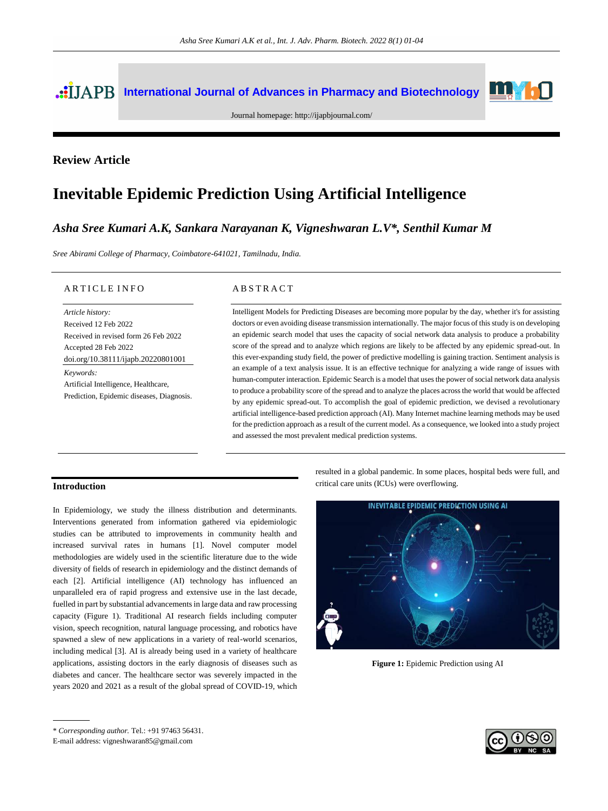# **International Journal of Advances in Pharmacy and Biotechnology**



Journal homepage:<http://ijapbjournal.com/>

# **Review Article**

# **Inevitable Epidemic Prediction Using Artificial Intelligence**

# *Asha Sree Kumari A.K, Sankara Narayanan K, Vigneshwaran L.V\*, Senthil Kumar M*

*Sree Abirami College of Pharmacy, Coimbatore-641021, Tamilnadu, India.*

#### ARTICLE INFO

*Keywords:* Artificial Intelligence, Healthcare, Prediction, Epidemic diseases, Diagnosis. *Article history:* Received 12 Feb 2022 Received in revised form 26 Feb 2022 Accepted 28 Feb 2022 doi.org/10.38111/ijapb.20220801001

#### A B S T R A C T

Intelligent Models for Predicting Diseases are becoming more popular by the day, whether it's for assisting doctors or even avoiding disease transmission internationally. The major focus of this study is on developing an epidemic search model that uses the capacity of social network data analysis to produce a probability score of the spread and to analyze which regions are likely to be affected by any epidemic spread-out. In this ever-expanding study field, the power of predictive modelling is gaining traction. Sentiment analysis is an example of a text analysis issue. It is an effective technique for analyzing a wide range of issues with human-computer interaction. Epidemic Search is a model that uses the power of social network data analysis to produce a probability score of the spread and to analyze the places across the world that would be affected by any epidemic spread-out. To accomplish the goal of epidemic prediction, we devised a revolutionary artificial intelligence-based prediction approach (AI). Many Internet machine learning methods may be used for the prediction approach as a result of the current model. As a consequence, we looked into a study project and assessed the most prevalent medical prediction systems.

#### **Introduction**

In Epidemiology, we study the illness distribution and determinants. Interventions generated from information gathered via epidemiologic studies can be attributed to improvements in community health and increased survival rates in humans [1]. Novel computer model methodologies are widely used in the scientific literature due to the wide diversity of fields of research in epidemiology and the distinct demands of each [2]. Artificial intelligence (AI) technology has influenced an unparalleled era of rapid progress and extensive use in the last decade, fuelled in part by substantial advancements in large data and raw processing capacity (Figure 1). Traditional AI research fields including computer vision, speech recognition, natural language processing, and robotics have spawned a slew of new applications in a variety of real-world scenarios, including medical [3]. AI is already being used in a variety of healthcare applications, assisting doctors in the early diagnosis of diseases such as diabetes and cancer. The healthcare sector was severely impacted in the years 2020 and 2021 as a result of the global spread of COVID-19, which resulted in a global pandemic. In some places, hospital beds were full, and critical care units (ICUs) were overflowing.



**Figure 1:** Epidemic Prediction using AI



<sup>\*</sup> *Corresponding author.* Tel.: +91 97463 56431.

E-mail address: vigneshwaran85@gmail.com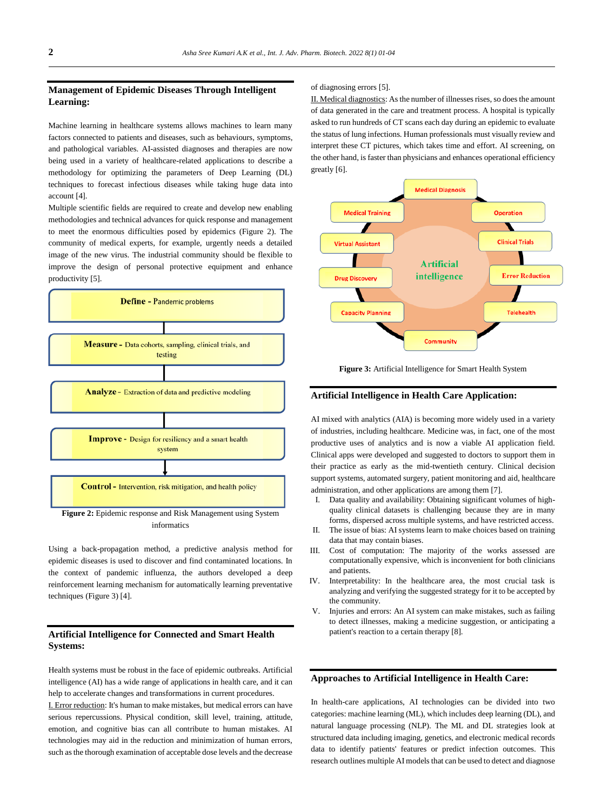# **Management of Epidemic Diseases Through Intelligent Learning:**

Machine learning in healthcare systems allows machines to learn many factors connected to patients and diseases, such as behaviours, symptoms, and pathological variables. AI-assisted diagnoses and therapies are now being used in a variety of healthcare-related applications to describe a methodology for optimizing the parameters of Deep Learning (DL) techniques to forecast infectious diseases while taking huge data into account [4].

Multiple scientific fields are required to create and develop new enabling methodologies and technical advances for quick response and management to meet the enormous difficulties posed by epidemics (Figure 2). The community of medical experts, for example, urgently needs a detailed image of the new virus. The industrial community should be flexible to improve the design of personal protective equipment and enhance productivity [5].



Using a back-propagation method, a predictive analysis method for epidemic diseases is used to discover and find contaminated locations. In the context of pandemic influenza, the authors developed a deep reinforcement learning mechanism for automatically learning preventative techniques (Figure 3) [4].

# **Artificial Intelligence for Connected and Smart Health Systems:**

Health systems must be robust in the face of epidemic outbreaks. Artificial intelligence (AI) has a wide range of applications in health care, and it can help to accelerate changes and transformations in current procedures.

I. Error reduction: It's human to make mistakes, but medical errors can have serious repercussions. Physical condition, skill level, training, attitude, emotion, and cognitive bias can all contribute to human mistakes. AI technologies may aid in the reduction and minimization of human errors, such as the thorough examination of acceptable dose levels and the decrease of diagnosing errors [5].

II. Medical diagnostics: As the number of illnesses rises, so does the amount of data generated in the care and treatment process. A hospital is typically asked to run hundreds of CT scans each day during an epidemic to evaluate the status of lung infections. Human professionals must visually review and interpret these CT pictures, which takes time and effort. AI screening, on the other hand, is faster than physicians and enhances operational efficiency greatly [6].



**Figure 3:** Artificial Intelligence for Smart Health System

### **Artificial Intelligence in Health Care Application:**

AI mixed with analytics (AIA) is becoming more widely used in a variety of industries, including healthcare. Medicine was, in fact, one of the most productive uses of analytics and is now a viable AI application field. Clinical apps were developed and suggested to doctors to support them in their practice as early as the mid-twentieth century. Clinical decision support systems, automated surgery, patient monitoring and aid, healthcare administration, and other applications are among them [7].

- I. Data quality and availability: Obtaining significant volumes of highquality clinical datasets is challenging because they are in many forms, dispersed across multiple systems, and have restricted access.
- II. The issue of bias: AI systems learn to make choices based on training data that may contain biases.
- III. Cost of computation: The majority of the works assessed are computationally expensive, which is inconvenient for both clinicians and patients.
- IV. Interpretability: In the healthcare area, the most crucial task is analyzing and verifying the suggested strategy for it to be accepted by the community.
- V. Injuries and errors: An AI system can make mistakes, such as failing to detect illnesses, making a medicine suggestion, or anticipating a patient's reaction to a certain therapy [8].

#### **Approaches to Artificial Intelligence in Health Care:**

In health-care applications, AI technologies can be divided into two categories: machine learning (ML), which includes deep learning (DL), and natural language processing (NLP). The ML and DL strategies look at structured data including imaging, genetics, and electronic medical records data to identify patients' features or predict infection outcomes. This research outlines multiple AI models that can be used to detect and diagnose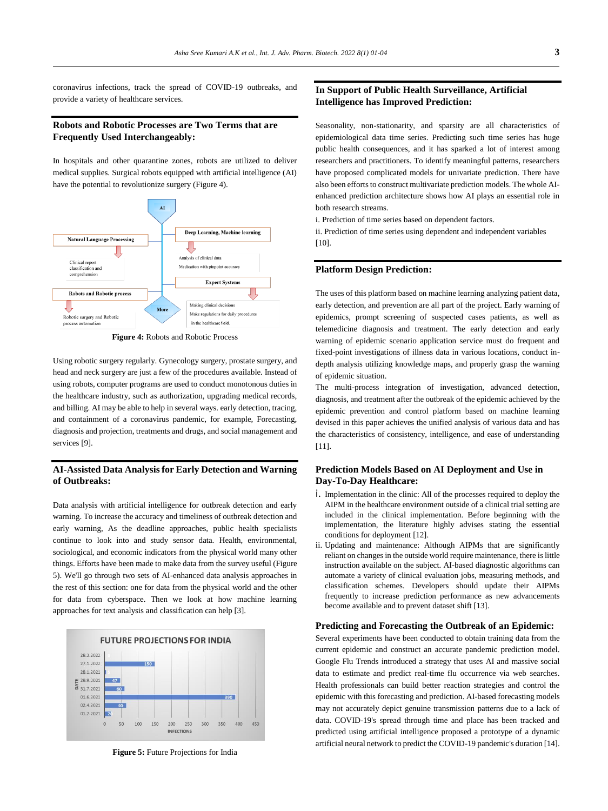coronavirus infections, track the spread of COVID-19 outbreaks, and provide a variety of healthcare services.

# **Robots and Robotic Processes are Two Terms that are Frequently Used Interchangeably:**

In hospitals and other quarantine zones, robots are utilized to deliver medical supplies. Surgical robots equipped with artificial intelligence (AI) have the potential to revolutionize surgery (Figure 4).



**Figure 4:** Robots and Robotic Process

Using robotic surgery regularly. Gynecology surgery, prostate surgery, and head and neck surgery are just a few of the procedures available. Instead of using robots, computer programs are used to conduct monotonous duties in the healthcare industry, such as authorization, upgrading medical records, and billing. AI may be able to help in several ways. early detection, tracing, and containment of a coronavirus pandemic, for example, Forecasting, diagnosis and projection, treatments and drugs, and social management and services [9].

#### **AI-Assisted Data Analysis for Early Detection and Warning of Outbreaks:**

Data analysis with artificial intelligence for outbreak detection and early warning. To increase the accuracy and timeliness of outbreak detection and early warning, As the deadline approaches, public health specialists continue to look into and study sensor data. Health, environmental, sociological, and economic indicators from the physical world many other things. Efforts have been made to make data from the survey useful (Figure 5). We'll go through two sets of AI-enhanced data analysis approaches in the rest of this section: one for data from the physical world and the other for data from cyberspace. Then we look at how machine learning approaches for text analysis and classification can help [3].



**Figure 5:** Future Projections for India

# **In Support of Public Health Surveillance, Artificial Intelligence has Improved Prediction:**

Seasonality, non-stationarity, and sparsity are all characteristics of epidemiological data time series. Predicting such time series has huge public health consequences, and it has sparked a lot of interest among researchers and practitioners. To identify meaningful patterns, researchers have proposed complicated models for univariate prediction. There have also been efforts to construct multivariate prediction models. The whole AIenhanced prediction architecture shows how AI plays an essential role in both research streams.

i. Prediction of time series based on dependent factors.

ii. Prediction of time series using dependent and independent variables [10].

#### **Platform Design Prediction:**

The uses of this platform based on machine learning analyzing patient data, early detection, and prevention are all part of the project. Early warning of epidemics, prompt screening of suspected cases patients, as well as telemedicine diagnosis and treatment. The early detection and early warning of epidemic scenario application service must do frequent and fixed-point investigations of illness data in various locations, conduct indepth analysis utilizing knowledge maps, and properly grasp the warning of epidemic situation.

The multi-process integration of investigation, advanced detection, diagnosis, and treatment after the outbreak of the epidemic achieved by the epidemic prevention and control platform based on machine learning devised in this paper achieves the unified analysis of various data and has the characteristics of consistency, intelligence, and ease of understanding [11].

# **Prediction Models Based on AI Deployment and Use in Day-To-Day Healthcare:**

- i. Implementation in the clinic: All of the processes required to deploy the AIPM in the healthcare environment outside of a clinical trial setting are included in the clinical implementation. Before beginning with the implementation, the literature highly advises stating the essential conditions for deployment [12].
- ii. Updating and maintenance: Although AIPMs that are significantly reliant on changes in the outside world require maintenance, there is little instruction available on the subject. AI-based diagnostic algorithms can automate a variety of clinical evaluation jobs, measuring methods, and classification schemes. Developers should update their AIPMs frequently to increase prediction performance as new advancements become available and to prevent dataset shift [13].

#### **Predicting and Forecasting the Outbreak of an Epidemic:**

Several experiments have been conducted to obtain training data from the current epidemic and construct an accurate pandemic prediction model. Google Flu Trends introduced a strategy that uses AI and massive social data to estimate and predict real-time flu occurrence via web searches. Health professionals can build better reaction strategies and control the epidemic with this forecasting and prediction. AI-based forecasting models may not accurately depict genuine transmission patterns due to a lack of data. COVID-19's spread through time and place has been tracked and predicted using artificial intelligence proposed a prototype of a dynamic artificial neural network to predict the COVID-19 pandemic's duration [14].